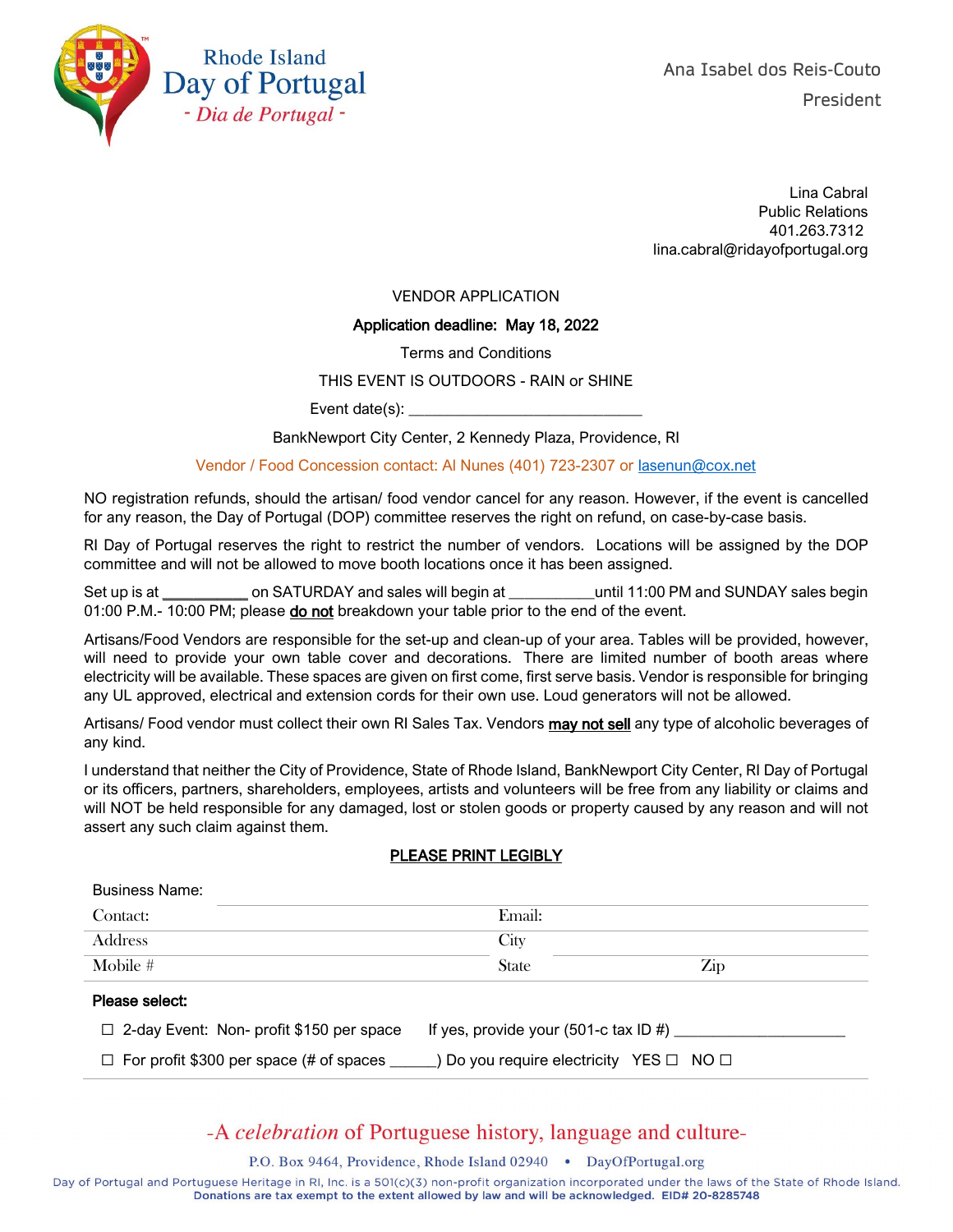

Lina Cabral Public Relations 401.263.7312 lina.cabral@ridayofportugal.org

VENDOR APPLICATION

#### Application deadline: May 18, 2022

Terms and Conditions

#### THIS EVENT IS OUTDOORS - RAIN or SHINE

Event date $(s)$ :  $\_\_$ 

BankNewport City Center, 2 Kennedy Plaza, Providence, RI

Vendor / Food Concession contact: Al Nunes (401) 723-2307 or [lasenun@cox.net](mailto:lasenun@cox.net)

NO registration refunds, should the artisan/ food vendor cancel for any reason. However, if the event is cancelled for any reason, the Day of Portugal (DOP) committee reserves the right on refund, on case-by-case basis.

RI Day of Portugal reserves the right to restrict the number of vendors. Locations will be assigned by the DOP committee and will not be allowed to move booth locations once it has been assigned.

Set up is at \_\_\_\_\_\_\_\_\_\_\_\_\_\_\_\_\_ on SATURDAY and sales will begin at \_\_\_\_\_\_\_\_\_\_\_\_\_until 11:00 PM and SUNDAY sales begin 01:00 P.M.- 10:00 PM; please do not breakdown your table prior to the end of the event.

Artisans/Food Vendors are responsible for the set-up and clean-up of your area. Tables will be provided, however, will need to provide your own table cover and decorations. There are limited number of booth areas where electricity will be available. These spaces are given on first come, first serve basis. Vendor is responsible for bringing any UL approved, electrical and extension cords for their own use. Loud generators will not be allowed.

Artisans/ Food vendor must collect their own RI Sales Tax. Vendors may not sell any type of alcoholic beverages of any kind.

I understand that neither the City of Providence, State of Rhode Island, BankNewport City Center, RI Day of Portugal or its officers, partners, shareholders, employees, artists and volunteers will be free from any liability or claims and will NOT be held responsible for any damaged, lost or stolen goods or property caused by any reason and will not assert any such claim against them.

### PLEASE PRINT LEGIBLY

| <b>Business Name:</b>                      |                                       |  |  |  |  |  |
|--------------------------------------------|---------------------------------------|--|--|--|--|--|
| Contact:                                   | Email:                                |  |  |  |  |  |
| Address                                    | City                                  |  |  |  |  |  |
| Mobile #                                   | $\operatorname{Zip}$<br><b>State</b>  |  |  |  |  |  |
| Please select:                             |                                       |  |  |  |  |  |
| □ 2-day Event: Non- profit \$150 per space | If yes, provide your (501-c tax ID #) |  |  |  |  |  |

☐ For profit \$300 per space (# of spaces \_\_\_\_\_\_) Do you require electricity YES ☐ NO ☐

## -A celebration of Portuguese history, language and culture-

P.O. Box 9464, Providence, Rhode Island 02940 . DayOfPortugal.org

Day of Portugal and Portuguese Heritage in RI, Inc. is a 501(c)(3) non-profit organization incorporated under the laws of the State of Rhode Island. Donations are tax exempt to the extent allowed by law and will be acknowledged. EID# 20-8285748